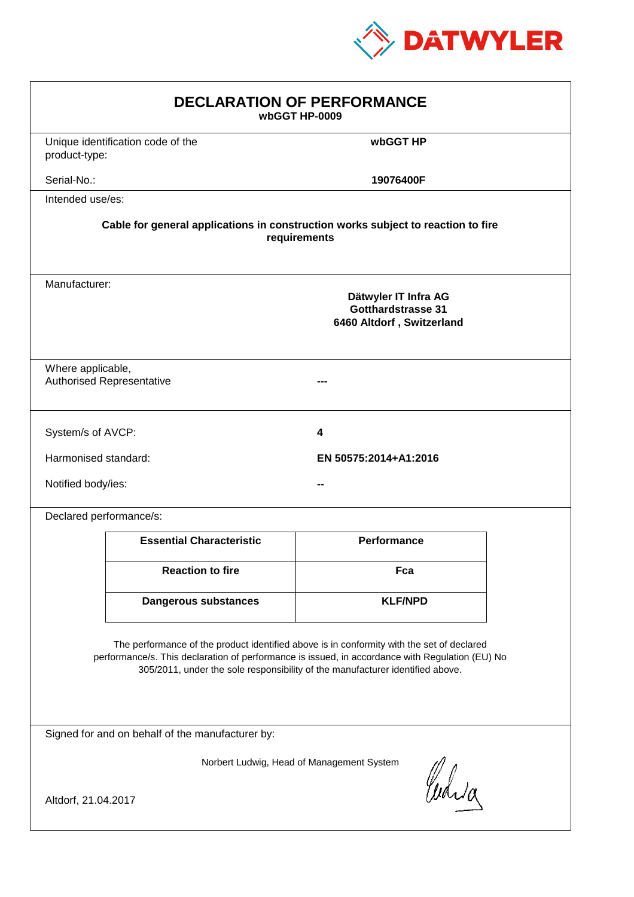

| <b>DECLARATION OF PERFORMANCE</b><br>wbGGT HP-0009                                                                                                                                                                                                                            |                                                                                          |                       |  |  |  |
|-------------------------------------------------------------------------------------------------------------------------------------------------------------------------------------------------------------------------------------------------------------------------------|------------------------------------------------------------------------------------------|-----------------------|--|--|--|
| product-type:                                                                                                                                                                                                                                                                 | Unique identification code of the                                                        | wbGGT HP              |  |  |  |
| Serial-No.:                                                                                                                                                                                                                                                                   |                                                                                          | 19076400F             |  |  |  |
| Intended use/es:                                                                                                                                                                                                                                                              |                                                                                          |                       |  |  |  |
| Cable for general applications in construction works subject to reaction to fire<br>requirements                                                                                                                                                                              |                                                                                          |                       |  |  |  |
|                                                                                                                                                                                                                                                                               | Manufacturer:<br>Dätwyler IT Infra AG<br>Gotthardstrasse 31<br>6460 Altdorf, Switzerland |                       |  |  |  |
|                                                                                                                                                                                                                                                                               | Where applicable,<br><b>Authorised Representative</b>                                    |                       |  |  |  |
| System/s of AVCP:                                                                                                                                                                                                                                                             |                                                                                          | 4                     |  |  |  |
| Harmonised standard:                                                                                                                                                                                                                                                          |                                                                                          | EN 50575:2014+A1:2016 |  |  |  |
| Notified body/ies:                                                                                                                                                                                                                                                            |                                                                                          |                       |  |  |  |
| Declared performance/s:                                                                                                                                                                                                                                                       |                                                                                          |                       |  |  |  |
|                                                                                                                                                                                                                                                                               | <b>Essential Characteristic</b>                                                          | <b>Performance</b>    |  |  |  |
|                                                                                                                                                                                                                                                                               | <b>Reaction to fire</b>                                                                  | Fca                   |  |  |  |
|                                                                                                                                                                                                                                                                               | <b>Dangerous substances</b>                                                              | <b>KLF/NPD</b>        |  |  |  |
| The performance of the product identified above is in conformity with the set of declared<br>performance/s. This declaration of performance is issued, in accordance with Regulation (EU) No<br>305/2011, under the sole responsibility of the manufacturer identified above. |                                                                                          |                       |  |  |  |
| Signed for and on behalf of the manufacturer by:                                                                                                                                                                                                                              |                                                                                          |                       |  |  |  |
| Norbert Ludwig, Head of Management System<br>Curia<br>Altdorf, 21.04.2017                                                                                                                                                                                                     |                                                                                          |                       |  |  |  |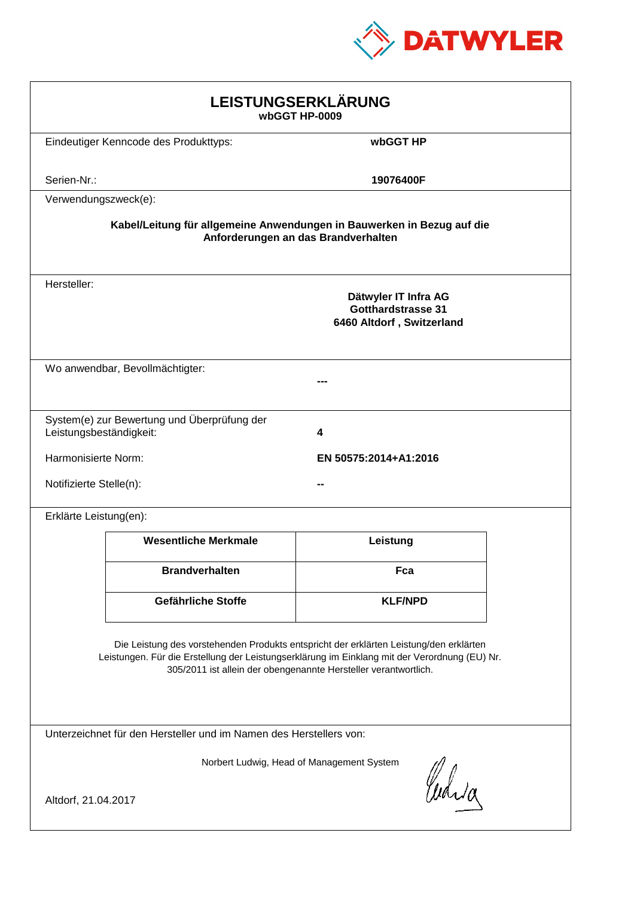

| LEISTUNGSERKLÄRUNG<br>wbGGT HP-0009                                                                                                                                                                                                                        |                                              |                                                                                |  |  |
|------------------------------------------------------------------------------------------------------------------------------------------------------------------------------------------------------------------------------------------------------------|----------------------------------------------|--------------------------------------------------------------------------------|--|--|
|                                                                                                                                                                                                                                                            | Eindeutiger Kenncode des Produkttyps:        | wbGGT HP                                                                       |  |  |
| Serien-Nr.:                                                                                                                                                                                                                                                |                                              | 19076400F                                                                      |  |  |
| Verwendungszweck(e):                                                                                                                                                                                                                                       |                                              |                                                                                |  |  |
| Kabel/Leitung für allgemeine Anwendungen in Bauwerken in Bezug auf die<br>Anforderungen an das Brandverhalten                                                                                                                                              |                                              |                                                                                |  |  |
| Hersteller:                                                                                                                                                                                                                                                |                                              | Dätwyler IT Infra AG<br><b>Gotthardstrasse 31</b><br>6460 Altdorf, Switzerland |  |  |
|                                                                                                                                                                                                                                                            | Wo anwendbar, Bevollmächtigter:              |                                                                                |  |  |
| Leistungsbeständigkeit:                                                                                                                                                                                                                                    | System(e) zur Bewertung und Überprüfung der  | 4                                                                              |  |  |
|                                                                                                                                                                                                                                                            | Harmonisierte Norm:<br>EN 50575:2014+A1:2016 |                                                                                |  |  |
| Notifizierte Stelle(n):                                                                                                                                                                                                                                    |                                              |                                                                                |  |  |
| Erklärte Leistung(en):                                                                                                                                                                                                                                     |                                              |                                                                                |  |  |
|                                                                                                                                                                                                                                                            | <b>Wesentliche Merkmale</b>                  | Leistung                                                                       |  |  |
|                                                                                                                                                                                                                                                            | <b>Brandverhalten</b>                        | Fca                                                                            |  |  |
|                                                                                                                                                                                                                                                            | Gefährliche Stoffe                           | <b>KLF/NPD</b>                                                                 |  |  |
| Die Leistung des vorstehenden Produkts entspricht der erklärten Leistung/den erklärten<br>Leistungen. Für die Erstellung der Leistungserklärung im Einklang mit der Verordnung (EU) Nr.<br>305/2011 ist allein der obengenannte Hersteller verantwortlich. |                                              |                                                                                |  |  |
| Unterzeichnet für den Hersteller und im Namen des Herstellers von:                                                                                                                                                                                         |                                              |                                                                                |  |  |
| Norbert Ludwig, Head of Management System<br>Curia                                                                                                                                                                                                         |                                              |                                                                                |  |  |
| Altdorf, 21.04.2017                                                                                                                                                                                                                                        |                                              |                                                                                |  |  |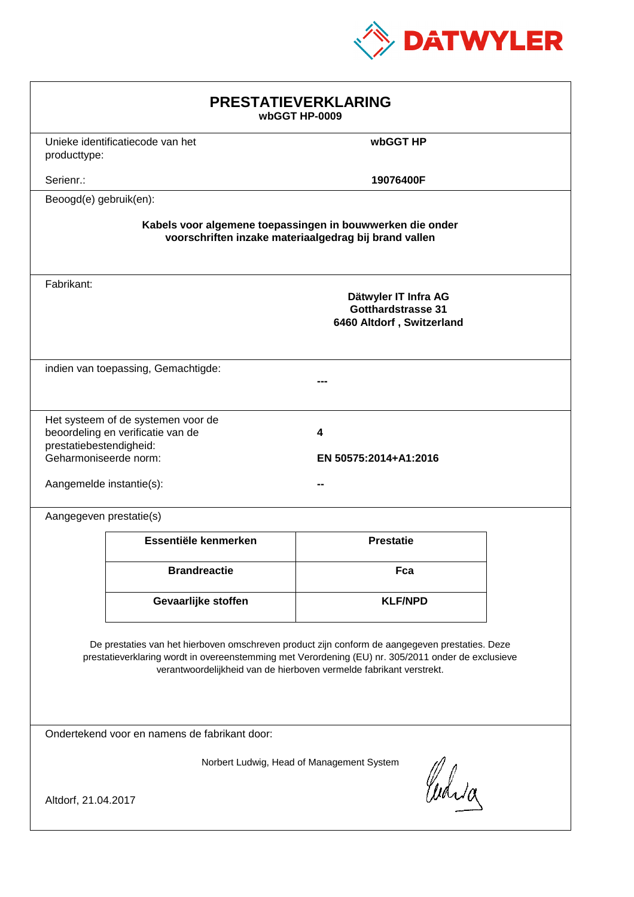

| <b>PRESTATIEVERKLARING</b><br>wbGGT HP-0009                                                                                                                                                                                                                                 |                                                                         |                                                                                |  |  |
|-----------------------------------------------------------------------------------------------------------------------------------------------------------------------------------------------------------------------------------------------------------------------------|-------------------------------------------------------------------------|--------------------------------------------------------------------------------|--|--|
| producttype:                                                                                                                                                                                                                                                                | Unieke identificatiecode van het                                        | wbGGT HP                                                                       |  |  |
| Serienr.:                                                                                                                                                                                                                                                                   |                                                                         | 19076400F                                                                      |  |  |
| Beoogd(e) gebruik(en):                                                                                                                                                                                                                                                      |                                                                         |                                                                                |  |  |
| Kabels voor algemene toepassingen in bouwwerken die onder<br>voorschriften inzake materiaalgedrag bij brand vallen                                                                                                                                                          |                                                                         |                                                                                |  |  |
| Fabrikant:                                                                                                                                                                                                                                                                  |                                                                         | Dätwyler IT Infra AG<br><b>Gotthardstrasse 31</b><br>6460 Altdorf, Switzerland |  |  |
|                                                                                                                                                                                                                                                                             | indien van toepassing, Gemachtigde:                                     |                                                                                |  |  |
| prestatiebestendigheid:<br>Geharmoniseerde norm:<br>Aangemelde instantie(s):                                                                                                                                                                                                | Het systeem of de systemen voor de<br>beoordeling en verificatie van de | 4<br>EN 50575:2014+A1:2016                                                     |  |  |
| Aangegeven prestatie(s)                                                                                                                                                                                                                                                     |                                                                         |                                                                                |  |  |
|                                                                                                                                                                                                                                                                             | Essentiële kenmerken                                                    | <b>Prestatie</b>                                                               |  |  |
|                                                                                                                                                                                                                                                                             | <b>Brandreactie</b>                                                     | Fca                                                                            |  |  |
|                                                                                                                                                                                                                                                                             | Gevaarlijke stoffen                                                     | <b>KLF/NPD</b>                                                                 |  |  |
| De prestaties van het hierboven omschreven product zijn conform de aangegeven prestaties. Deze<br>prestatieverklaring wordt in overeenstemming met Verordening (EU) nr. 305/2011 onder de exclusieve<br>verantwoordelijkheid van de hierboven vermelde fabrikant verstrekt. |                                                                         |                                                                                |  |  |
| Ondertekend voor en namens de fabrikant door:                                                                                                                                                                                                                               |                                                                         |                                                                                |  |  |
| Norbert Ludwig, Head of Management System<br>Curia<br>Altdorf, 21.04.2017                                                                                                                                                                                                   |                                                                         |                                                                                |  |  |
|                                                                                                                                                                                                                                                                             |                                                                         |                                                                                |  |  |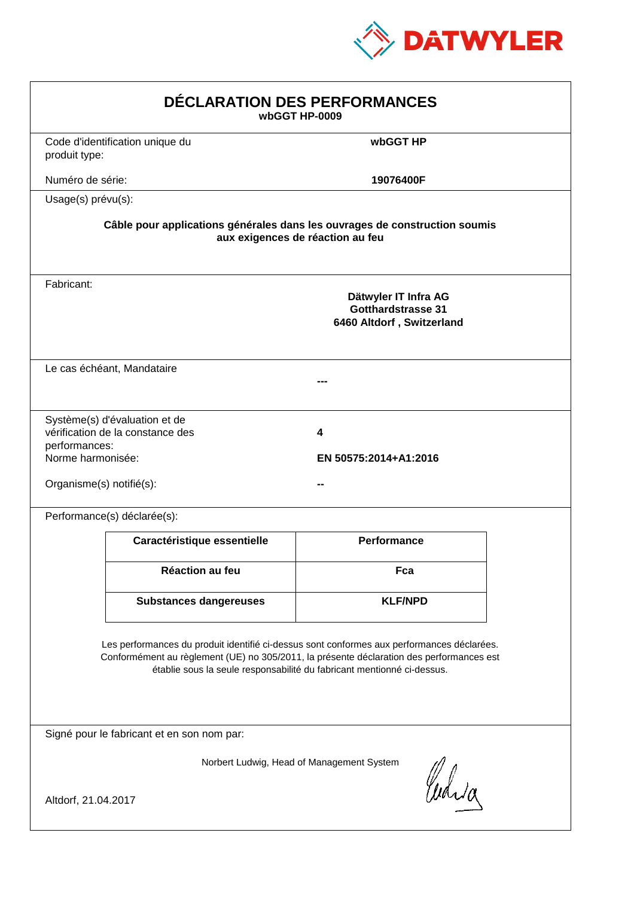

| DÉCLARATION DES PERFORMANCES<br>wbGGT HP-0009                                                                                                                                                                                                                    |                                                                                                                |                                                                                |  |  |  |
|------------------------------------------------------------------------------------------------------------------------------------------------------------------------------------------------------------------------------------------------------------------|----------------------------------------------------------------------------------------------------------------|--------------------------------------------------------------------------------|--|--|--|
| produit type:                                                                                                                                                                                                                                                    | Code d'identification unique du                                                                                | wbGGT HP                                                                       |  |  |  |
| Numéro de série:                                                                                                                                                                                                                                                 |                                                                                                                | 19076400F                                                                      |  |  |  |
| Usage(s) prévu(s):                                                                                                                                                                                                                                               |                                                                                                                |                                                                                |  |  |  |
|                                                                                                                                                                                                                                                                  | Câble pour applications générales dans les ouvrages de construction soumis<br>aux exigences de réaction au feu |                                                                                |  |  |  |
| Fabricant:                                                                                                                                                                                                                                                       |                                                                                                                | Dätwyler IT Infra AG<br><b>Gotthardstrasse 31</b><br>6460 Altdorf, Switzerland |  |  |  |
|                                                                                                                                                                                                                                                                  | Le cas échéant, Mandataire                                                                                     |                                                                                |  |  |  |
| performances:<br>Norme harmonisée:<br>Organisme(s) notifié(s):                                                                                                                                                                                                   | Système(s) d'évaluation et de<br>vérification de la constance des                                              | 4<br>EN 50575:2014+A1:2016                                                     |  |  |  |
|                                                                                                                                                                                                                                                                  | Performance(s) déclarée(s):                                                                                    |                                                                                |  |  |  |
|                                                                                                                                                                                                                                                                  | Caractéristique essentielle                                                                                    | Performance                                                                    |  |  |  |
|                                                                                                                                                                                                                                                                  | Réaction au feu                                                                                                | Fca                                                                            |  |  |  |
|                                                                                                                                                                                                                                                                  | <b>Substances dangereuses</b>                                                                                  | <b>KLF/NPD</b>                                                                 |  |  |  |
| Les performances du produit identifié ci-dessus sont conformes aux performances déclarées.<br>Conformément au règlement (UE) no 305/2011, la présente déclaration des performances est<br>établie sous la seule responsabilité du fabricant mentionné ci-dessus. |                                                                                                                |                                                                                |  |  |  |
| Signé pour le fabricant et en son nom par:                                                                                                                                                                                                                       |                                                                                                                |                                                                                |  |  |  |
| Norbert Ludwig, Head of Management System<br>Curia<br>Altdorf, 21.04.2017                                                                                                                                                                                        |                                                                                                                |                                                                                |  |  |  |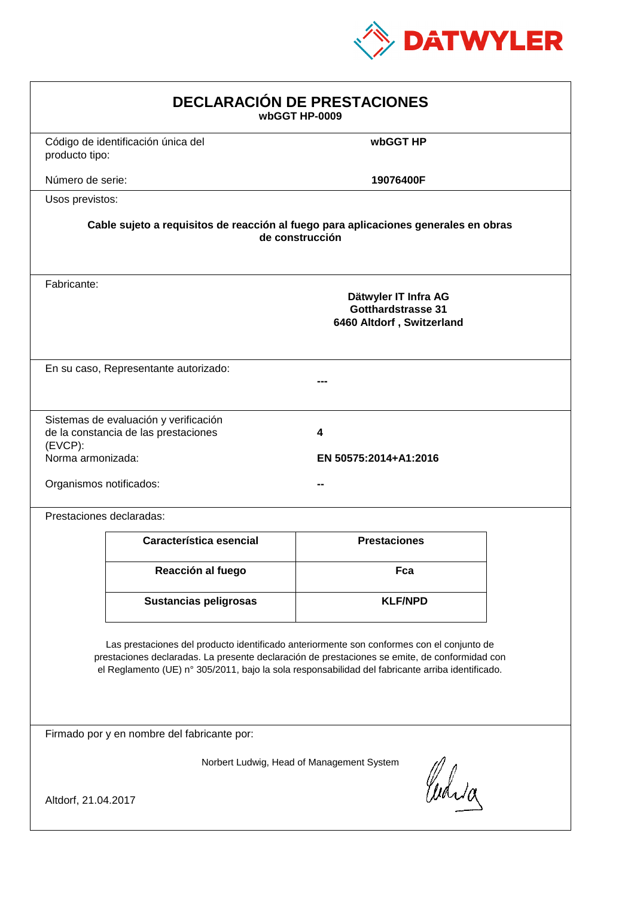

| <b>DECLARACIÓN DE PRESTACIONES</b><br>wbGGT HP-0009                                                                                                                                                                                                                                            |                                                                                |                     |  |  |
|------------------------------------------------------------------------------------------------------------------------------------------------------------------------------------------------------------------------------------------------------------------------------------------------|--------------------------------------------------------------------------------|---------------------|--|--|
| producto tipo:                                                                                                                                                                                                                                                                                 | Código de identificación única del                                             | wbGGT HP            |  |  |
| Número de serie:                                                                                                                                                                                                                                                                               |                                                                                | 19076400F           |  |  |
| Usos previstos:                                                                                                                                                                                                                                                                                |                                                                                |                     |  |  |
| Cable sujeto a requisitos de reacción al fuego para aplicaciones generales en obras<br>de construcción                                                                                                                                                                                         |                                                                                |                     |  |  |
| Fabricante:                                                                                                                                                                                                                                                                                    | Dätwyler IT Infra AG<br><b>Gotthardstrasse 31</b><br>6460 Altdorf, Switzerland |                     |  |  |
|                                                                                                                                                                                                                                                                                                | En su caso, Representante autorizado:                                          |                     |  |  |
| Sistemas de evaluación y verificación<br>de la constancia de las prestaciones<br>4<br>$(EVCP)$ :<br>Norma armonizada:<br>EN 50575:2014+A1:2016<br>Organismos notificados:                                                                                                                      |                                                                                |                     |  |  |
|                                                                                                                                                                                                                                                                                                | Prestaciones declaradas:                                                       |                     |  |  |
|                                                                                                                                                                                                                                                                                                | Característica esencial                                                        | <b>Prestaciones</b> |  |  |
|                                                                                                                                                                                                                                                                                                | Reacción al fuego                                                              | Fca                 |  |  |
|                                                                                                                                                                                                                                                                                                | Sustancias peligrosas                                                          | <b>KLF/NPD</b>      |  |  |
| Las prestaciones del producto identificado anteriormente son conformes con el conjunto de<br>prestaciones declaradas. La presente declaración de prestaciones se emite, de conformidad con<br>el Reglamento (UE) nº 305/2011, bajo la sola responsabilidad del fabricante arriba identificado. |                                                                                |                     |  |  |
| Firmado por y en nombre del fabricante por:                                                                                                                                                                                                                                                    |                                                                                |                     |  |  |
| Norbert Ludwig, Head of Management System<br>Curia<br>Altdorf, 21.04.2017                                                                                                                                                                                                                      |                                                                                |                     |  |  |